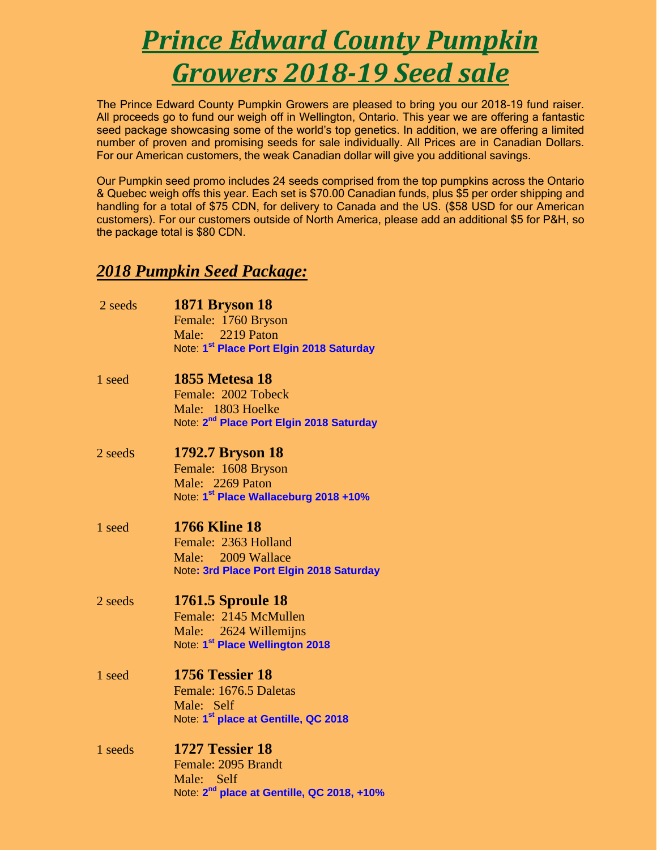# *Prince Edward County Pumpkin Growers 2018-19 Seed sale*

The Prince Edward County Pumpkin Growers are pleased to bring you our 2018-19 fund raiser. All proceeds go to fund our weigh off in Wellington, Ontario. This year we are offering a fantastic seed package showcasing some of the world's top genetics. In addition, we are offering a limited number of proven and promising seeds for sale individually. All Prices are in Canadian Dollars. For our American customers, the weak Canadian dollar will give you additional savings.

Our Pumpkin seed promo includes 24 seeds comprised from the top pumpkins across the Ontario & Quebec weigh offs this year. Each set is \$70.00 Canadian funds, plus \$5 per order shipping and handling for a total of \$75 CDN, for delivery to Canada and the US. (\$58 USD for our American customers). For our customers outside of North America, please add an additional \$5 for P&H, so the package total is \$80 CDN.

# *2018 Pumpkin Seed Package:*

| 2 seeds | <b>1871 Bryson 18</b>                                  |
|---------|--------------------------------------------------------|
|         | Female: 1760 Bryson                                    |
|         | Male: 2219 Paton                                       |
|         | Note: 1 <sup>st</sup> Place Port Elgin 2018 Saturday   |
| 1 seed  | <b>1855 Metesa 18</b>                                  |
|         | Female: 2002 Tobeck                                    |
|         | Male: 1803 Hoelke                                      |
|         | Note: 2 <sup>nd</sup> Place Port Elgin 2018 Saturday   |
| 2 seeds | <b>1792.7 Bryson 18</b>                                |
|         | Female: 1608 Bryson                                    |
|         | Male: 2269 Paton                                       |
|         | Note: 1 <sup>st</sup> Place Wallaceburg 2018 +10%      |
| 1 seed  | <b>1766 Kline 18</b>                                   |
|         | Female: 2363 Holland                                   |
|         | Male: 2009 Wallace                                     |
|         | Note: 3rd Place Port Elgin 2018 Saturday               |
| 2 seeds | <b>1761.5 Sproule 18</b>                               |
|         | Female: 2145 McMullen                                  |
|         | Male: 2624 Willemijns                                  |
|         | Note: 1st Place Wellington 2018                        |
| 1 seed  | <b>1756 Tessier 18</b>                                 |
|         | Female: 1676.5 Daletas                                 |
|         | Male: Self                                             |
|         | Note: 1 <sup>st</sup> place at Gentille, QC 2018       |
| 1 seeds | <b>1727 Tessier 18</b>                                 |
|         | Female: 2095 Brandt                                    |
|         | Male: Self                                             |
|         | Note: 2 <sup>nd</sup> place at Gentille, QC 2018, +10% |
|         |                                                        |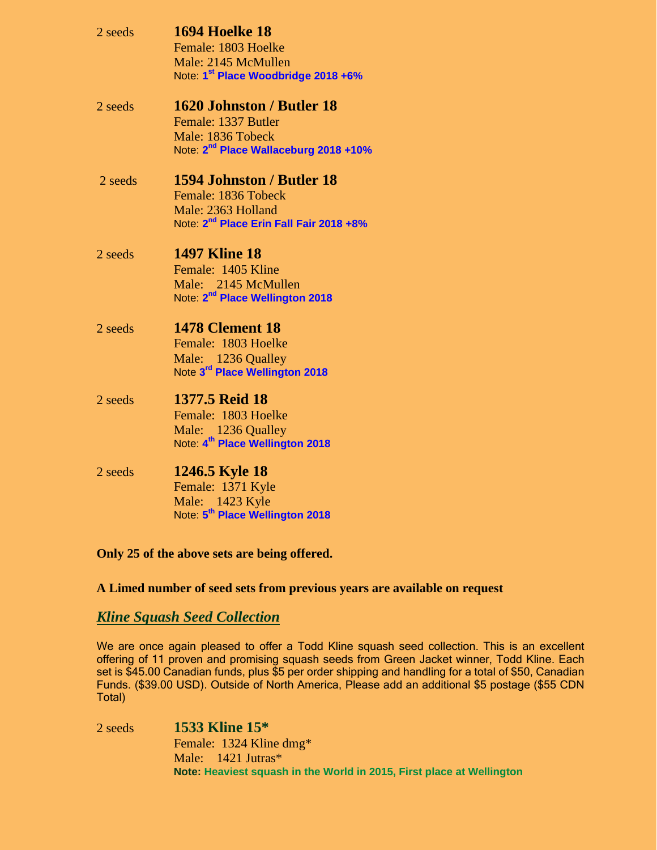| 2 seeds | <b>1694 Hoelke 18</b><br>Female: 1803 Hoelke<br>Male: 2145 McMullen<br>Note: 1 <sup>st</sup> Place Woodbridge 2018 +6%               |
|---------|--------------------------------------------------------------------------------------------------------------------------------------|
| 2 seeds | 1620 Johnston / Butler 18<br>Female: 1337 Butler<br>Male: 1836 Tobeck<br>Note: 2 <sup>nd</sup> Place Wallaceburg 2018 +10%           |
| 2 seeds | <b>1594 Johnston / Butler 18</b><br>Female: 1836 Tobeck<br>Male: 2363 Holland<br>Note: 2 <sup>nd</sup> Place Erin Fall Fair 2018 +8% |
| 2 seeds | <b>1497 Kline 18</b><br>Female: 1405 Kline<br>Male: 2145 McMullen<br>Note: 2 <sup>nd</sup> Place Wellington 2018                     |
| 2 seeds | <b>1478 Clement 18</b><br>Female: 1803 Hoelke<br>Male: 1236 Qualley<br>Note 3rd Place Wellington 2018                                |
| 2 seeds | 1377.5 Reid 18<br>Female: 1803 Hoelke<br>Male: 1236 Qualley<br>Note: 4 <sup>th</sup> Place Wellington 2018                           |
| 2 seeds | 1246.5 Kyle 18<br>Female: 1371 Kyle<br>Male: 1423 Kyle<br>Note: 5 <sup>th</sup> Place Wellington 2018                                |

#### **Only 25 of the above sets are being offered.**

#### **A Limed number of seed sets from previous years are available on request**

# *Kline Squash Seed Collection*

We are once again pleased to offer a Todd Kline squash seed collection. This is an excellent offering of 11 proven and promising squash seeds from Green Jacket winner, Todd Kline. Each set is \$45.00 Canadian funds, plus \$5 per order shipping and handling for a total of \$50, Canadian Funds. (\$39.00 USD). Outside of North America, Please add an additional \$5 postage (\$55 CDN Total)

2 seeds **1533 Kline 15\*** Female: 1324 Kline dmg\* Male: 1421 Jutras\* **Note: Heaviest squash in the World in 2015, First place at Wellington**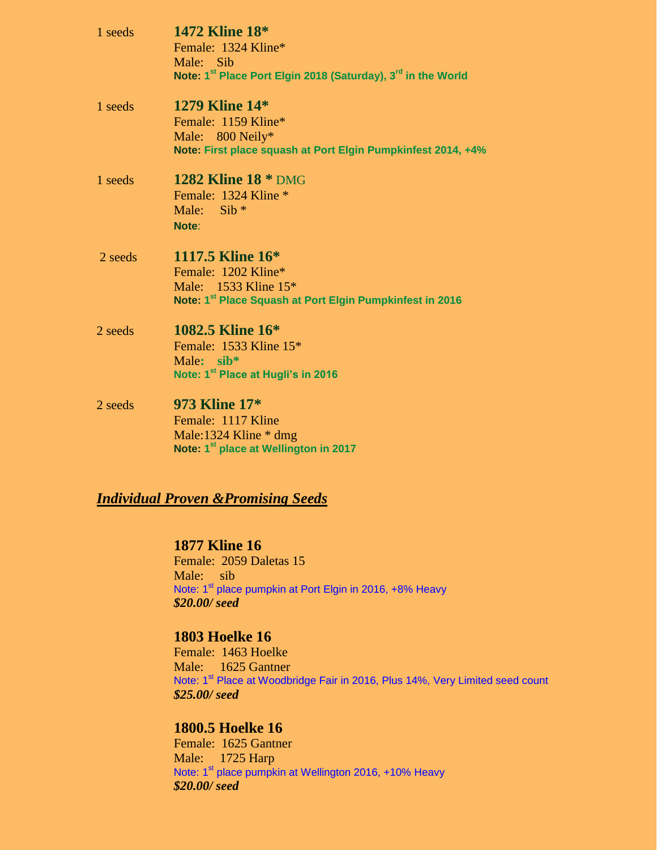| 1 seeds | <b>1472 Kline 18*</b><br>Female: 1324 Kline*<br>Male: Sib<br>Note: 1 <sup>st</sup> Place Port Elgin 2018 (Saturday), 3 <sup>rd</sup> in the World |
|---------|---------------------------------------------------------------------------------------------------------------------------------------------------|
| 1 seeds | <b>1279 Kline 14*</b><br>Female: 1159 Kline*<br>Male: 800 Neily*<br>Note: First place squash at Port Elgin Pumpkinfest 2014, +4%                  |
| 1 seeds | <b>1282 Kline 18 * DMG</b><br>Female: 1324 Kline *<br>Male: $Sib *$<br>Note:                                                                      |
| 2 seeds | 1117.5 Kline 16*<br>Female: 1202 Kline*<br>Male: 1533 Kline 15*<br>Note: 1st Place Squash at Port Elgin Pumpkinfest in 2016                       |
| 2 seeds | 1082.5 Kline 16*<br>Female: $1533$ Kline $15*$<br>Male: sib*<br>Note: 1 <sup>st</sup> Place at Hugli's in 2016                                    |
| 2 seeds | 973 Kline 17*<br>Female: 1117 Kline<br>Male: $1324$ Kline $*$ dmg<br>Note: 1 <sup>st</sup> place at Wellington in 2017                            |

# *Individual Proven &Promising Seeds*

#### **1877 Kline 16**

Female: 2059 Daletas 15 Male: sib Note: 1<sup>st</sup> place pumpkin at Port Elgin in 2016, +8% Heavy *\$20.00/ seed*

# **1803 Hoelke 16**

Female: 1463 Hoelke Male: 1625 Gantner Note: 1<sup>st</sup> Place at Woodbridge Fair in 2016, Plus 14%, Very Limited seed count *\$25.00/ seed*

# **1800.5 Hoelke 16**

Female: 1625 Gantner Male: 1725 Harp Note: 1<sup>st</sup> place pumpkin at Wellington 2016, +10% Heavy *\$20.00/ seed*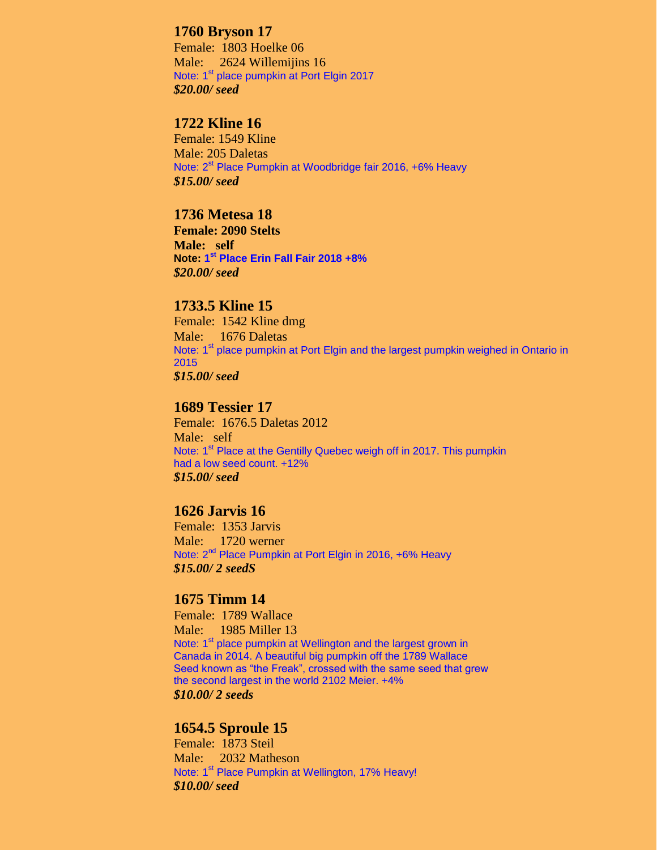#### **1760 Bryson 17**

Female: 1803 Hoelke 06 Male: 2624 Willemijins 16 Note: 1<sup>st</sup> place pumpkin at Port Elgin 2017 *\$20.00/ seed*

# **1722 Kline 16**

Female: 1549 Kline Male: 205 Daletas Note: 2<sup>st</sup> Place Pumpkin at Woodbridge fair 2016, +6% Heavy *\$15.00/ seed*

# **1736 Metesa 18**

**Female: 2090 Stelts Male: self Note: 1 st Place Erin Fall Fair 2018 +8%** *\$20.00/ seed*

#### **1733.5 Kline 15**

Female: 1542 Kline dmg Male: 1676 Daletas Note: 1<sup>st</sup> place pumpkin at Port Elgin and the largest pumpkin weighed in Ontario in 2015 *\$15.00/ seed*

### **1689 Tessier 17**

Female: 1676.5 Daletas 2012 Male: self Note: 1<sup>st</sup> Place at the Gentilly Quebec weigh off in 2017. This pumpkin had a low seed count. +12% *\$15.00/ seed*

#### **1626 Jarvis 16**

Female: 1353 Jarvis Male: 1720 werner Note: 2<sup>nd</sup> Place Pumpkin at Port Elgin in 2016, +6% Heavy *\$15.00/ 2 seedS*

#### **1675 Timm 14**

Female: 1789 Wallace Male: 1985 Miller 13 Note: 1<sup>st</sup> place pumpkin at Wellington and the largest grown in Canada in 2014. A beautiful big pumpkin off the 1789 Wallace Seed known as "the Freak", crossed with the same seed that grew the second largest in the world 2102 Meier. +4% *\$10.00/ 2 seeds*

#### **1654.5 Sproule 15**

Female: 1873 Steil Male: 2032 Matheson Note: 1<sup>st</sup> Place Pumpkin at Wellington, 17% Heavy! *\$10.00/ seed*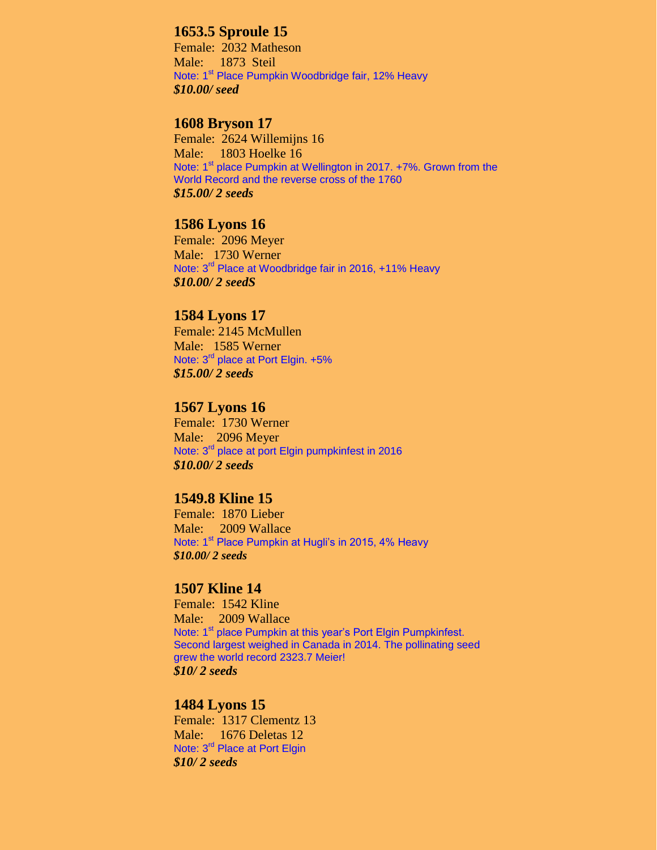#### **1653.5 Sproule 15**

Female: 2032 Matheson Male: 1873 Steil Note: 1<sup>st</sup> Place Pumpkin Woodbridge fair, 12% Heavy *\$10.00/ seed*

#### **1608 Bryson 17**

Female: 2624 Willemijns 16 Male: 1803 Hoelke 16 Note: 1<sup>st</sup> place Pumpkin at Wellington in 2017. +7%. Grown from the World Record and the reverse cross of the 1760 *\$15.00/ 2 seeds*

#### **1586 Lyons 16**

Female: 2096 Meyer Male: 1730 Werner Note: 3<sup>rd</sup> Place at Woodbridge fair in 2016, +11% Heavy *\$10.00/ 2 seedS*

#### **1584 Lyons 17**

Female: 2145 McMullen Male: 1585 Werner Note: 3<sup>rd</sup> place at Port Elgin. +5% *\$15.00/ 2 seeds*

#### **1567 Lyons 16**

Female: 1730 Werner Male: 2096 Meyer Note: 3<sup>rd</sup> place at port Elgin pumpkinfest in 2016 *\$10.00/ 2 seeds*

# **1549.8 Kline 15**

Female: 1870 Lieber Male: 2009 Wallace Note: 1<sup>st</sup> Place Pumpkin at Hugli's in 2015, 4% Heavy *\$10.00/ 2 seeds*

#### **1507 Kline 14**

Female: 1542 Kline Male: 2009 Wallace Note: 1<sup>st</sup> place Pumpkin at this year's Port Elgin Pumpkinfest. Second largest weighed in Canada in 2014. The pollinating seed grew the world record 2323.7 Meier! *\$10/ 2 seeds*

#### **1484 Lyons 15**

Female: 1317 Clementz 13 Male: 1676 Deletas 12 Note: 3<sup>rd</sup> Place at Port Elgin *\$10/ 2 seeds*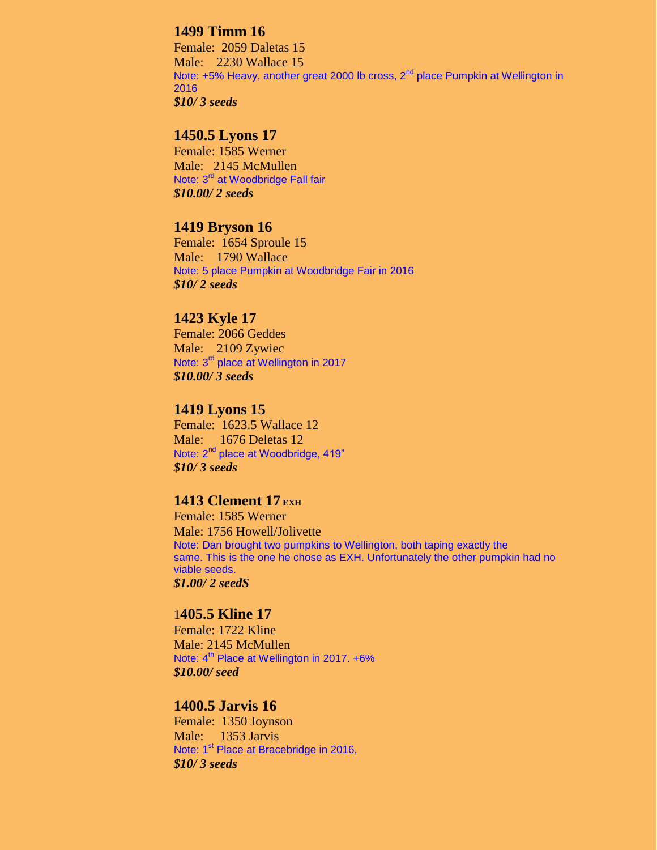# **1499 Timm 16**

Female: 2059 Daletas 15 Male: 2230 Wallace 15 Note:  $+5\%$  Heavy, another great 2000 lb cross,  $2<sup>nd</sup>$  place Pumpkin at Wellington in 2016 *\$10/ 3 seeds*

#### **1450.5 Lyons 17**

Female: 1585 Werner Male: 2145 McMullen Note: 3<sup>rd</sup> at Woodbridge Fall fair *\$10.00/ 2 seeds*

#### **1419 Bryson 16**

Female: 1654 Sproule 15 Male: 1790 Wallace Note: 5 place Pumpkin at Woodbridge Fair in 2016 *\$10/ 2 seeds*

#### **1423 Kyle 17**

Female: 2066 Geddes Male: 2109 Zywiec Note: 3<sup>rd</sup> place at Wellington in 2017 *\$10.00/ 3 seeds*

# **1419 Lyons 15**

Female: 1623.5 Wallace 12 Male: 1676 Deletas 12 Note: 2<sup>nd</sup> place at Woodbridge, 419" *\$10/ 3 seeds*

#### **1413 Clement 17 EXH**

Female: 1585 Werner Male: 1756 Howell/Jolivette Note: Dan brought two pumpkins to Wellington, both taping exactly the same. This is the one he chose as EXH. Unfortunately the other pumpkin had no viable seeds.

*\$1.00/ 2 seedS*

#### 1**405.5 Kline 17**

Female: 1722 Kline Male: 2145 McMullen Note: 4<sup>th</sup> Place at Wellington in 2017. +6% *\$10.00/ seed*

### **1400.5 Jarvis 16**

Female: 1350 Joynson Male: 1353 Jarvis Note: 1<sup>st</sup> Place at Bracebridge in 2016, *\$10/ 3 seeds*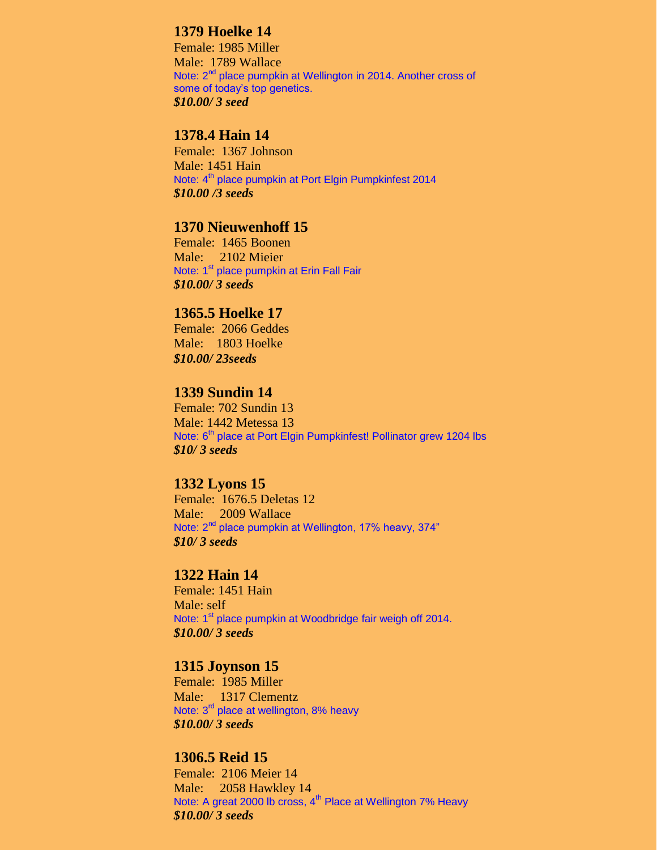# **1379 Hoelke 14**

Female: 1985 Miller Male: 1789 Wallace Note: 2<sup>nd</sup> place pumpkin at Wellington in 2014. Another cross of some of today's top genetics. *\$10.00/ 3 seed*

#### **1378.4 Hain 14**

Female: 1367 Johnson Male: 1451 Hain Note: 4<sup>th</sup> place pumpkin at Port Elgin Pumpkinfest 2014 *\$10.00 /3 seeds*

#### **1370 Nieuwenhoff 15**

Female: 1465 Boonen Male: 2102 Mieier Note: 1<sup>st</sup> place pumpkin at Erin Fall Fair *\$10.00/ 3 seeds*

#### **1365.5 Hoelke 17**

Female: 2066 Geddes Male: 1803 Hoelke *\$10.00/ 23seeds*

#### **1339 Sundin 14**

Female: 702 Sundin 13 Male: 1442 Metessa 13 Note: 6<sup>th</sup> place at Port Elgin Pumpkinfest! Pollinator grew 1204 lbs *\$10/ 3 seeds*

#### **1332 Lyons 15**

Female: 1676.5 Deletas 12 Male: 2009 Wallace Note: 2<sup>nd</sup> place pumpkin at Wellington, 17% heavy, 374" *\$10/ 3 seeds*

## **1322 Hain 14**

Female: 1451 Hain Male: self Note: 1<sup>st</sup> place pumpkin at Woodbridge fair weigh off 2014. *\$10.00/ 3 seeds*

#### **1315 Joynson 15**

Female: 1985 Miller Male: 1317 Clementz Note: 3<sup>rd</sup> place at wellington, 8% heavy *\$10.00/ 3 seeds*

#### **1306.5 Reid 15**

Female: 2106 Meier 14 Male: 2058 Hawkley 14 Note: A great 2000 lb cross, 4<sup>th</sup> Place at Wellington 7% Heavy *\$10.00/ 3 seeds*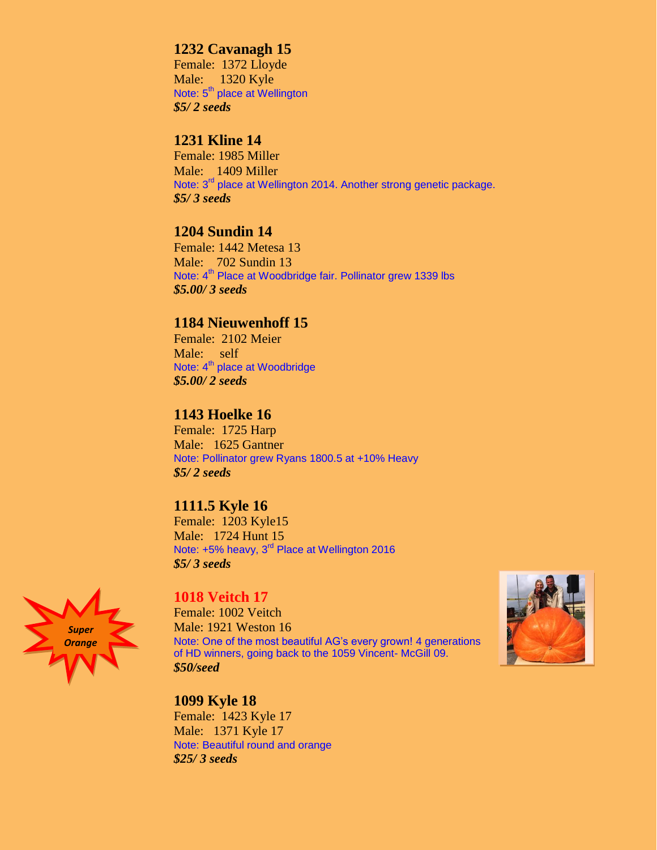# **1232 Cavanagh 15**

Female: 1372 Lloyde Male: 1320 Kyle Note: 5<sup>th</sup> place at Wellington *\$5/ 2 seeds*

# **1231 Kline 14**

Female: 1985 Miller Male: 1409 Miller Note: 3<sup>rd</sup> place at Wellington 2014. Another strong genetic package. *\$5/ 3 seeds*

# **1204 Sundin 14**

Female: 1442 Metesa 13 Male: 702 Sundin 13 Note: 4<sup>th</sup> Place at Woodbridge fair. Pollinator grew 1339 lbs *\$5.00/ 3 seeds*

# **1184 Nieuwenhoff 15**

Female: 2102 Meier Male: self Note: 4<sup>th</sup> place at Woodbridge *\$5.00/ 2 seeds*

# **1143 Hoelke 16**

Female: 1725 Harp Male: 1625 Gantner Note: Pollinator grew Ryans 1800.5 at +10% Heavy *\$5/ 2 seeds*

# **1111.5 Kyle 16**

Female: 1203 Kyle15 Male: 1724 Hunt 15 Note: +5% heavy, 3<sup>rd</sup> Place at Wellington 2016 *\$5/ 3 seeds*



#### **1018 Veitch 17**

Female: 1002 Veitch Male: 1921 Weston 16 Note: One of the most beautiful AG's every grown! 4 generations of HD winners, going back to the 1059 Vincent- McGill 09. *\$50/seed*



**1099 Kyle 18** Female: 1423 Kyle 17 Male: 1371 Kyle 17 Note: Beautiful round and orange *\$25/ 3 seeds*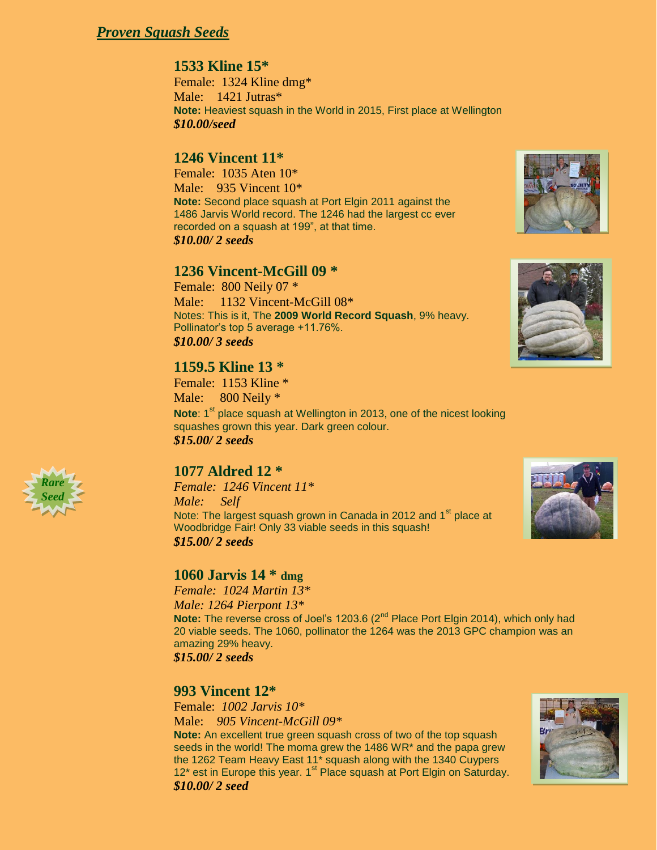# *Proven Squash Seeds*

# **1533 Kline 15\***

Female: 1324 Kline dmg\* Male: 1421 Jutras\* **Note:** Heaviest squash in the World in 2015, First place at Wellington *\$10.00/seed*

# **1246 Vincent 11\***

Female: 1035 Aten 10\* Male: 935 Vincent 10\* **Note:** Second place squash at Port Elgin 2011 against the 1486 Jarvis World record. The 1246 had the largest cc ever recorded on a squash at 199", at that time. *\$10.00/ 2 seeds*

# **1236 Vincent-McGill 09 \***

Female: 800 Neily 07 \* Male: 1132 Vincent-McGill 08\* Notes: This is it, The **2009 World Record Squash**, 9% heavy. Pollinator's top 5 average +11.76%.  *\$10.00/ 3 seeds*

# **1159.5 Kline 13 \***

Female: 1153 Kline \* Male: 800 Neily  $*$ **Note**: 1<sup>st</sup> place squash at Wellington in 2013, one of the nicest looking squashes grown this year. Dark green colour.  *\$15.00/ 2 seeds*

# **1077 Aldred 12 \***

 *Female: 1246 Vincent 11\* Male: Self*  Note: The largest squash grown in Canada in 2012 and 1<sup>st</sup> place at Woodbridge Fair! Only 33 viable seeds in this squash! *\$15.00/ 2 seeds*

# **1060 Jarvis 14 \* dmg**

 *Female: 1024 Martin 13\* Male: 1264 Pierpont 13\**  Note: The reverse cross of Joel's 1203.6 (2<sup>nd</sup> Place Port Elgin 2014), which only had 20 viable seeds. The 1060, pollinator the 1264 was the 2013 GPC champion was an amazing 29% heavy. *\$15.00/ 2 seeds*

# **993 Vincent 12\***

Female: *1002 Jarvis 10\** Male: *905 Vincent-McGill 09\**  **Note:** An excellent true green squash cross of two of the top squash seeds in the world! The moma grew the 1486 WR\* and the papa grew the 1262 Team Heavy East 11\* squash along with the 1340 Cuypers  $12<sup>*</sup>$  est in Europe this year. 1<sup>st</sup> Place squash at Port Elgin on Saturday. *\$10.00/ 2 seed*







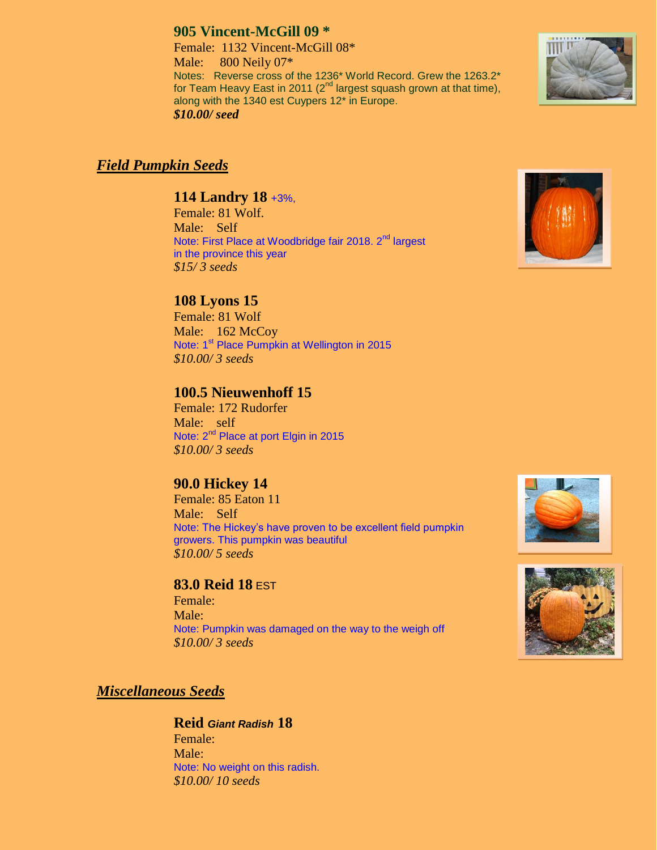# **905 Vincent-McGill 09 \***

Female: 1132 Vincent-McGill 08\* Male: 800 Neily 07\* Notes: Reverse cross of the 1236\* World Record. Grew the 1263.2\* for Team Heavy East in 2011 (2<sup>nd</sup> largest squash grown at that time), along with the 1340 est Cuypers 12\* in Europe. *\$10.00/ seed*

# *Field Pumpkin Seeds*

# **114 Landry 18** +3%,

Female: 81 Wolf. Male: Self Note: First Place at Woodbridge fair 2018. 2nd largest in the province this year *\$15/ 3 seeds*

# **108 Lyons 15**

Female: 81 Wolf Male: 162 McCoy Note: 1<sup>st</sup> Place Pumpkin at Wellington in 2015 *\$10.00/ 3 seeds*

# **100.5 Nieuwenhoff 15**

Female: 172 Rudorfer Male: self Note: 2<sup>nd</sup> Place at port Elgin in 2015 *\$10.00/ 3 seeds*

# **90.0 Hickey 14**

Female: 85 Eaton 11 Male: Self Note: The Hickey's have proven to be excellent field pumpkin growers. This pumpkin was beautiful *\$10.00/ 5 seeds*

#### **83.0 Reid 18** EST

Female: Male: Note: Pumpkin was damaged on the way to the weigh off *\$10.00/ 3 seeds*

#### *Miscellaneous Seeds*

**Reid** *Giant Radish* **18** Female: Male: Note: No weight on this radish. *\$10.00/ 10 seeds*







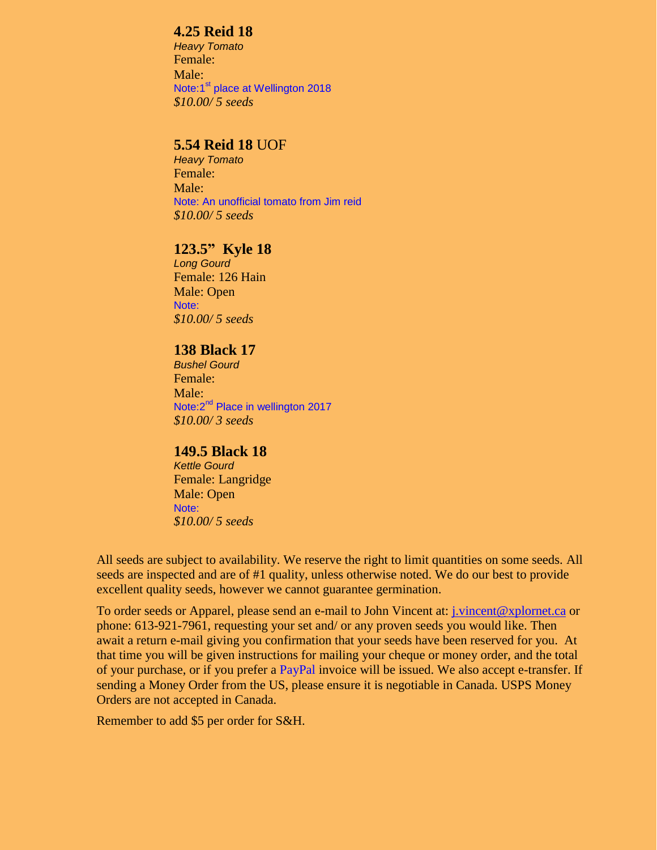#### **4.25 Reid 18**

*Heavy Tomato* Female: Male: Note:1<sup>st</sup> place at Wellington 2018 *\$10.00/ 5 seeds*

#### **5.54 Reid 18** UOF

*Heavy Tomato* Female: Male: Note: An unofficial tomato from Jim reid *\$10.00/ 5 seeds*

# **123.5" Kyle 18**

*Long Gourd* Female: 126 Hain Male: Open Note: *\$10.00/ 5 seeds*

#### **138 Black 17**

*Bushel Gourd* Female: Male: Note:2<sup>nd</sup> Place in wellington 2017 *\$10.00/ 3 seeds*

#### **149.5 Black 18**

*Kettle Gourd* Female: Langridge Male: Open Note: *\$10.00/ 5 seeds*

All seeds are subject to availability. We reserve the right to limit quantities on some seeds. All seeds are inspected and are of #1 quality, unless otherwise noted. We do our best to provide excellent quality seeds, however we cannot guarantee germination.

To order seeds or Apparel, please send an e-mail to John Vincent at: [j.vincent@xplornet.ca](mailto:j.vincent@xplornet.ca) or phone: 613-921-7961, requesting your set and/ or any proven seeds you would like. Then await a return e-mail giving you confirmation that your seeds have been reserved for you. At that time you will be given instructions for mailing your cheque or money order, and the total of your purchase, or if you prefer a PayPal invoice will be issued. We also accept e-transfer. If sending a Money Order from the US, please ensure it is negotiable in Canada. USPS Money Orders are not accepted in Canada.

Remember to add \$5 per order for S&H.